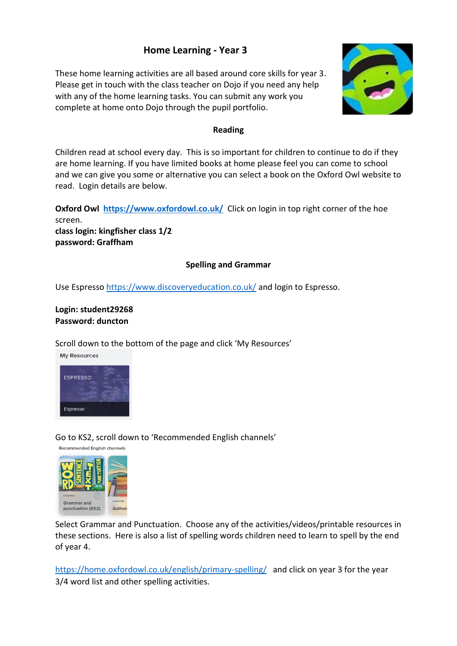# **Home Learning - Year 3**

These home learning activities are all based around core skills for year 3. Please get in touch with the class teacher on Dojo if you need any help with any of the home learning tasks. You can submit any work you complete at home onto Dojo through the pupil portfolio.



#### **Reading**

Children read at school every day. This is so important for children to continue to do if they are home learning. If you have limited books at home please feel you can come to school and we can give you some or alternative you can select a book on the Oxford Owl website to read. Login details are below.

**Oxford Owl https://www.oxfordowl.co.uk/** Click on login in top right corner of the hoe screen.

**class login: kingfisher class 1/2 password: Graffham**

### **Spelling and Grammar**

Use Espresso https://www.discoveryeducation.co.uk/ and login to Espresso.

## **Login: student29268 Password: duncton**

Scroll down to the bottom of the page and click 'My Resources'



Go to KS2, scroll down to 'Recommended English channels'



Select Grammar and Punctuation. Choose any of the activities/videos/printable resources in these sections. Here is also a list of spelling words children need to learn to spell by the end of year 4.

https://home.oxfordowl.co.uk/english/primary-spelling/ and click on year 3 for the year 3/4 word list and other spelling activities.